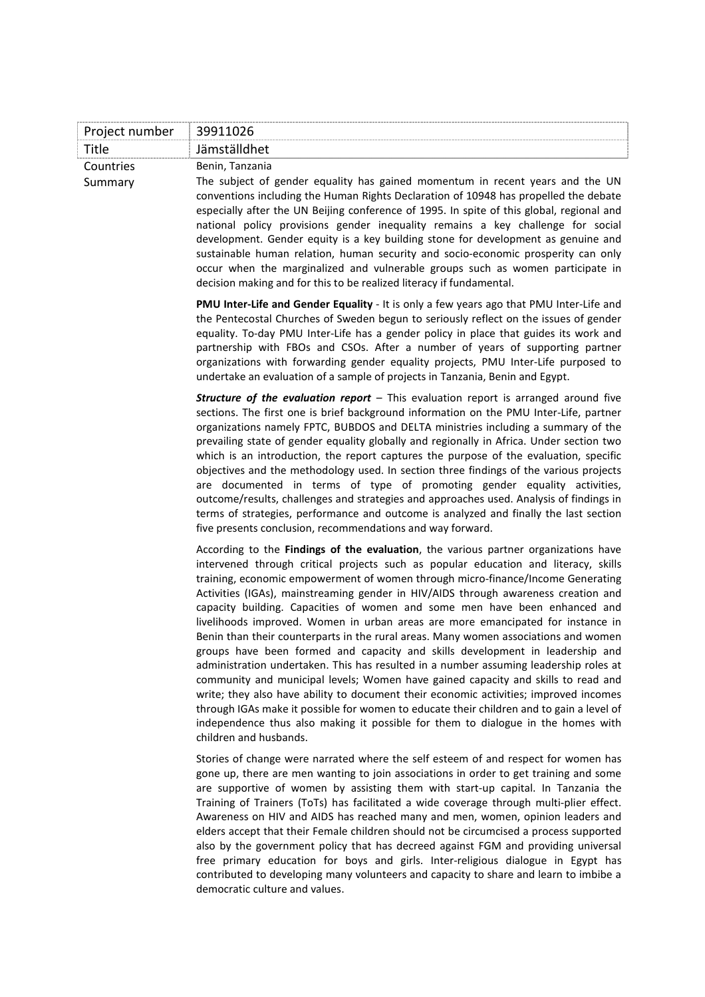| Project number       | 39911026                                                                                                                                                                                                                                                                                                                                                                                                                                                                                                                                                                                                                                                                                                                                                                                                                                                                                                                                                                                                                                                                                                                                                                      |
|----------------------|-------------------------------------------------------------------------------------------------------------------------------------------------------------------------------------------------------------------------------------------------------------------------------------------------------------------------------------------------------------------------------------------------------------------------------------------------------------------------------------------------------------------------------------------------------------------------------------------------------------------------------------------------------------------------------------------------------------------------------------------------------------------------------------------------------------------------------------------------------------------------------------------------------------------------------------------------------------------------------------------------------------------------------------------------------------------------------------------------------------------------------------------------------------------------------|
| Title                | Jämställdhet                                                                                                                                                                                                                                                                                                                                                                                                                                                                                                                                                                                                                                                                                                                                                                                                                                                                                                                                                                                                                                                                                                                                                                  |
| Countries<br>Summary | Benin, Tanzania<br>The subject of gender equality has gained momentum in recent years and the UN<br>conventions including the Human Rights Declaration of 10948 has propelled the debate<br>especially after the UN Beijing conference of 1995. In spite of this global, regional and                                                                                                                                                                                                                                                                                                                                                                                                                                                                                                                                                                                                                                                                                                                                                                                                                                                                                         |
|                      | national policy provisions gender inequality remains a key challenge for social<br>development. Gender equity is a key building stone for development as genuine and<br>sustainable human relation, human security and socio-economic prosperity can only<br>occur when the marginalized and vulnerable groups such as women participate in<br>decision making and for this to be realized literacy if fundamental.                                                                                                                                                                                                                                                                                                                                                                                                                                                                                                                                                                                                                                                                                                                                                           |
|                      | PMU Inter-Life and Gender Equality - It is only a few years ago that PMU Inter-Life and<br>the Pentecostal Churches of Sweden begun to seriously reflect on the issues of gender<br>equality. To-day PMU Inter-Life has a gender policy in place that guides its work and<br>partnership with FBOs and CSOs. After a number of years of supporting partner<br>organizations with forwarding gender equality projects, PMU Inter-Life purposed to<br>undertake an evaluation of a sample of projects in Tanzania, Benin and Egypt.                                                                                                                                                                                                                                                                                                                                                                                                                                                                                                                                                                                                                                             |
|                      | <b>Structure of the evaluation report</b> - This evaluation report is arranged around five<br>sections. The first one is brief background information on the PMU Inter-Life, partner<br>organizations namely FPTC, BUBDOS and DELTA ministries including a summary of the<br>prevailing state of gender equality globally and regionally in Africa. Under section two<br>which is an introduction, the report captures the purpose of the evaluation, specific<br>objectives and the methodology used. In section three findings of the various projects<br>are documented in terms of type of promoting gender equality activities,<br>outcome/results, challenges and strategies and approaches used. Analysis of findings in<br>terms of strategies, performance and outcome is analyzed and finally the last section<br>five presents conclusion, recommendations and way forward.                                                                                                                                                                                                                                                                                        |
|                      | According to the Findings of the evaluation, the various partner organizations have<br>intervened through critical projects such as popular education and literacy, skills<br>training, economic empowerment of women through micro-finance/Income Generating<br>Activities (IGAs), mainstreaming gender in HIV/AIDS through awareness creation and<br>capacity building. Capacities of women and some men have been enhanced and<br>livelihoods improved. Women in urban areas are more emancipated for instance in<br>Benin than their counterparts in the rural areas. Many women associations and women<br>groups have been formed and capacity and skills development in leadership and<br>administration undertaken. This has resulted in a number assuming leadership roles at<br>community and municipal levels; Women have gained capacity and skills to read and<br>write; they also have ability to document their economic activities; improved incomes<br>through IGAs make it possible for women to educate their children and to gain a level of<br>independence thus also making it possible for them to dialogue in the homes with<br>children and husbands. |
|                      | Stories of change were narrated where the self esteem of and respect for women has<br>gone up, there are men wanting to join associations in order to get training and some<br>are supportive of women by assisting them with start-up capital. In Tanzania the<br>Training of Trainers (ToTs) has facilitated a wide coverage through multi-plier effect.<br>Awareness on HIV and AIDS has reached many and men, women, opinion leaders and<br>elders accept that their Female children should not be circumcised a process supported<br>also by the government policy that has decreed against FGM and providing universal<br>free primary education for boys and girls. Inter-religious dialogue in Egypt has<br>contributed to developing many volunteers and capacity to share and learn to imbibe a                                                                                                                                                                                                                                                                                                                                                                     |

democratic culture and values.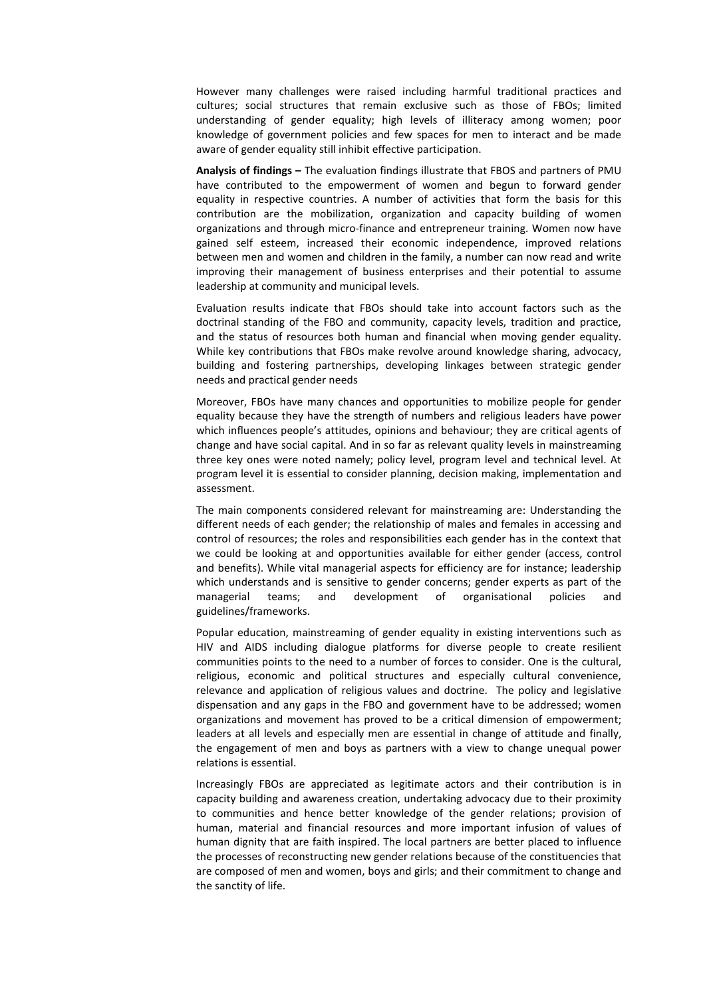However many challenges were raised including harmful traditional practices and cultures; social structures that remain exclusive such as those of FBOs; limited understanding of gender equality; high levels of illiteracy among women; poor knowledge of government policies and few spaces for men to interact and be made aware of gender equality still inhibit effective participation.

**Analysis of findings –** The evaluation findings illustrate that FBOS and partners of PMU have contributed to the empowerment of women and begun to forward gender equality in respective countries. A number of activities that form the basis for this contribution are the mobilization, organization and capacity building of women organizations and through micro-finance and entrepreneur training. Women now have gained self esteem, increased their economic independence, improved relations between men and women and children in the family, a number can now read and write improving their management of business enterprises and their potential to assume leadership at community and municipal levels.

Evaluation results indicate that FBOs should take into account factors such as the doctrinal standing of the FBO and community, capacity levels, tradition and practice, and the status of resources both human and financial when moving gender equality. While key contributions that FBOs make revolve around knowledge sharing, advocacy, building and fostering partnerships, developing linkages between strategic gender needs and practical gender needs

Moreover, FBOs have many chances and opportunities to mobilize people for gender equality because they have the strength of numbers and religious leaders have power which influences people's attitudes, opinions and behaviour; they are critical agents of change and have social capital. And in so far as relevant quality levels in mainstreaming three key ones were noted namely; policy level, program level and technical level. At program level it is essential to consider planning, decision making, implementation and assessment.

The main components considered relevant for mainstreaming are: Understanding the different needs of each gender; the relationship of males and females in accessing and control of resources; the roles and responsibilities each gender has in the context that we could be looking at and opportunities available for either gender (access, control and benefits). While vital managerial aspects for efficiency are for instance; leadership which understands and is sensitive to gender concerns; gender experts as part of the managerial teams; and development of organisational policies and guidelines/frameworks.

Popular education, mainstreaming of gender equality in existing interventions such as HIV and AIDS including dialogue platforms for diverse people to create resilient communities points to the need to a number of forces to consider. One is the cultural, religious, economic and political structures and especially cultural convenience, relevance and application of religious values and doctrine. The policy and legislative dispensation and any gaps in the FBO and government have to be addressed; women organizations and movement has proved to be a critical dimension of empowerment; leaders at all levels and especially men are essential in change of attitude and finally, the engagement of men and boys as partners with a view to change unequal power relations is essential.

Increasingly FBOs are appreciated as legitimate actors and their contribution is in capacity building and awareness creation, undertaking advocacy due to their proximity to communities and hence better knowledge of the gender relations; provision of human, material and financial resources and more important infusion of values of human dignity that are faith inspired. The local partners are better placed to influence the processes of reconstructing new gender relations because of the constituencies that are composed of men and women, boys and girls; and their commitment to change and the sanctity of life.